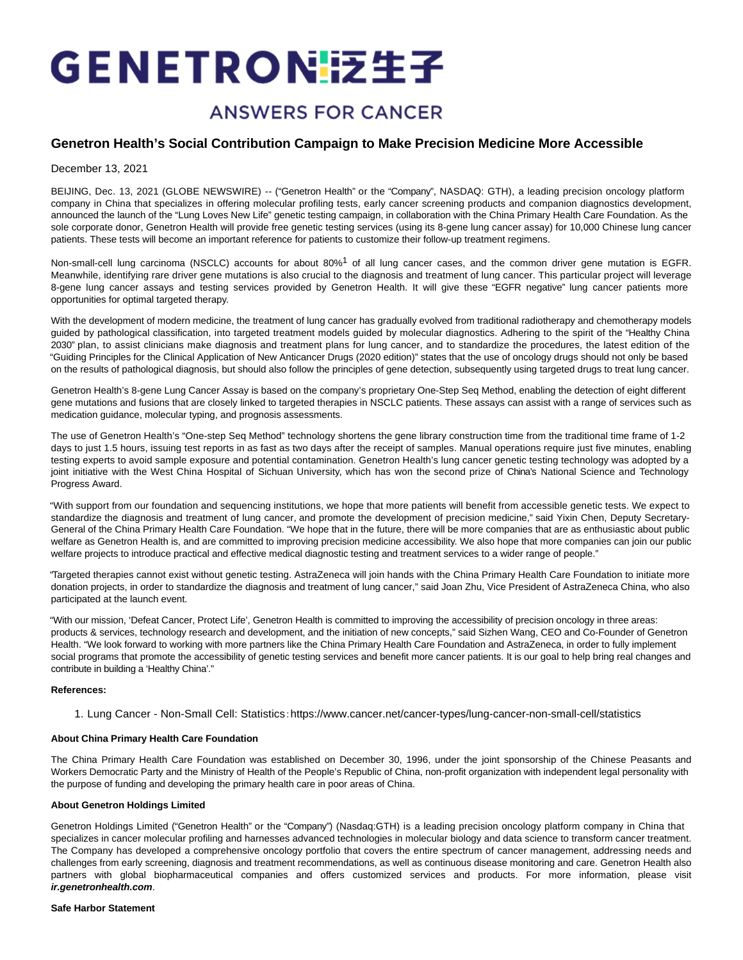# GENETRON 接生子

## **ANSWERS FOR CANCER**

### **Genetron Health's Social Contribution Campaign to Make Precision Medicine More Accessible**

December 13, 2021

BEIJING, Dec. 13, 2021 (GLOBE NEWSWIRE) -- ("Genetron Health" or the "Company", NASDAQ: GTH), a leading precision oncology platform company in China that specializes in offering molecular profiling tests, early cancer screening products and companion diagnostics development, announced the launch of the "Lung Loves New Life" genetic testing campaign, in collaboration with the China Primary Health Care Foundation. As the sole corporate donor, Genetron Health will provide free genetic testing services (using its 8-gene lung cancer assay) for 10,000 Chinese lung cancer patients. These tests will become an important reference for patients to customize their follow-up treatment regimens.

Non-small-cell lung carcinoma (NSCLC) accounts for about 80%<sup>1</sup> of all lung cancer cases, and the common driver gene mutation is EGFR. Meanwhile, identifying rare driver gene mutations is also crucial to the diagnosis and treatment of lung cancer. This particular project will leverage 8-gene lung cancer assays and testing services provided by Genetron Health. It will give these "EGFR negative" lung cancer patients more opportunities for optimal targeted therapy.

With the development of modern medicine, the treatment of lung cancer has gradually evolved from traditional radiotherapy and chemotherapy models guided by pathological classification, into targeted treatment models guided by molecular diagnostics. Adhering to the spirit of the "Healthy China 2030" plan, to assist clinicians make diagnosis and treatment plans for lung cancer, and to standardize the procedures, the latest edition of the "Guiding Principles for the Clinical Application of New Anticancer Drugs (2020 edition)" states that the use of oncology drugs should not only be based on the results of pathological diagnosis, but should also follow the principles of gene detection, subsequently using targeted drugs to treat lung cancer.

Genetron Health's 8-gene Lung Cancer Assay is based on the company's proprietary One-Step Seq Method, enabling the detection of eight different gene mutations and fusions that are closely linked to targeted therapies in NSCLC patients. These assays can assist with a range of services such as medication guidance, molecular typing, and prognosis assessments.

The use of Genetron Health's "One-step Seq Method" technology shortens the gene library construction time from the traditional time frame of 1-2 days to just 1.5 hours, issuing test reports in as fast as two days after the receipt of samples. Manual operations require just five minutes, enabling testing experts to avoid sample exposure and potential contamination. Genetron Health's lung cancer genetic testing technology was adopted by a joint initiative with the West China Hospital of Sichuan University, which has won the second prize of China's National Science and Technology Progress Award.

"With support from our foundation and sequencing institutions, we hope that more patients will benefit from accessible genetic tests. We expect to standardize the diagnosis and treatment of lung cancer, and promote the development of precision medicine," said Yixin Chen, Deputy Secretary-General of the China Primary Health Care Foundation. "We hope that in the future, there will be more companies that are as enthusiastic about public welfare as Genetron Health is, and are committed to improving precision medicine accessibility. We also hope that more companies can join our public welfare projects to introduce practical and effective medical diagnostic testing and treatment services to a wider range of people."

"Targeted therapies cannot exist without genetic testing. AstraZeneca will join hands with the China Primary Health Care Foundation to initiate more donation projects, in order to standardize the diagnosis and treatment of lung cancer," said Joan Zhu, Vice President of AstraZeneca China, who also participated at the launch event.

"With our mission, 'Defeat Cancer, Protect Life', Genetron Health is committed to improving the accessibility of precision oncology in three areas: products & services, technology research and development, and the initiation of new concepts," said Sizhen Wang, CEO and Co-Founder of Genetron Health. "We look forward to working with more partners like the China Primary Health Care Foundation and AstraZeneca, in order to fully implement social programs that promote the accessibility of genetic testing services and benefit more cancer patients. It is our goal to help bring real changes and contribute in building a 'Healthy China'."

#### **References:**

1. Lung Cancer - Non-Small Cell: Statistics:https://www.cancer.net/cancer-types/lung-cancer-non-small-cell/statistics

#### **About China Primary Health Care Foundation**

The China Primary Health Care Foundation was established on December 30, 1996, under the joint sponsorship of the Chinese Peasants and Workers Democratic Party and the Ministry of Health of the People's Republic of China, non-profit organization with independent legal personality with the purpose of funding and developing the primary health care in poor areas of China.

#### **About Genetron Holdings Limited**

Genetron Holdings Limited ("Genetron Health" or the "Company") (Nasdaq:GTH) is a leading precision oncology platform company in China that specializes in cancer molecular profiling and harnesses advanced technologies in molecular biology and data science to transform cancer treatment. The Company has developed a comprehensive oncology portfolio that covers the entire spectrum of cancer management, addressing needs and challenges from early screening, diagnosis and treatment recommendations, as well as continuous disease monitoring and care. Genetron Health also partners with global biopharmaceutical companies and offers customized services and products. For more information, please visit **ir.genetronhealth.com**.

#### **Safe Harbor Statement**